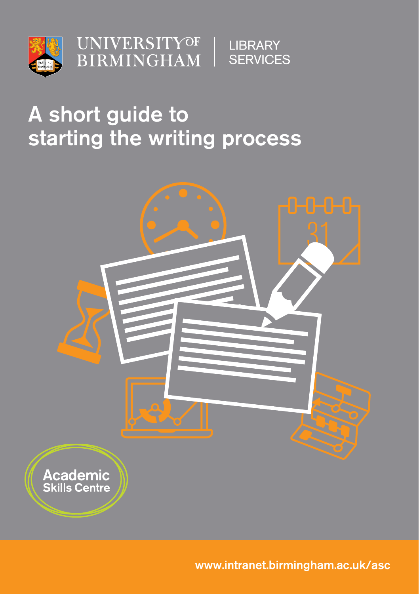

**UNIVERSITYOF BIRMINGHAM** 

**LIBRARY SERVICES** 

# A short guide to starting the writing process



www.intranet.birmingham.ac.uk/asc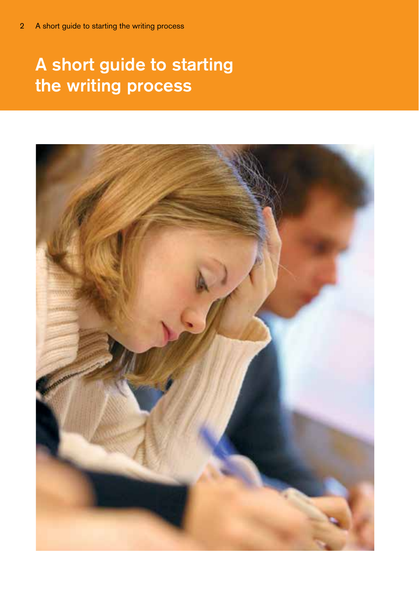# A short guide to starting the writing process

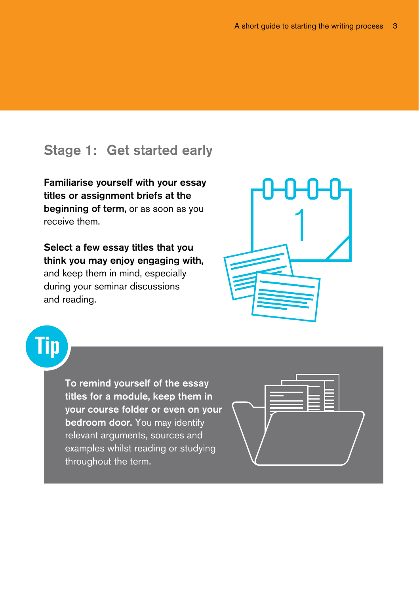## Stage 1: Get started early

Familiarise yourself with your essay titles or assignment briefs at the beginning of term, or as soon as you receive them.

Select a few essay titles that you think you may enjoy engaging with, and keep them in mind, especially during your seminar discussions and reading.



Tip

To remind yourself of the essay titles for a module, keep them in your course folder or even on your bedroom door. You may identify relevant arguments, sources and examples whilst reading or studying throughout the term.

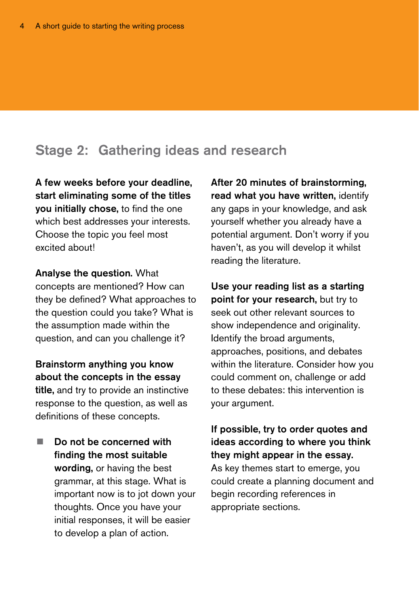#### Stage 2: Gathering ideas and research

A few weeks before your deadline, start eliminating some of the titles you initially chose, to find the one which best addresses your interests. Choose the topic you feel most excited about!

Analyse the question. What concepts are mentioned? How can they be defined? What approaches to the question could you take? What is the assumption made within the question, and can you challenge it?

Brainstorm anything you know about the concepts in the essay title, and try to provide an instinctive response to the question, as well as definitions of these concepts.

 $\blacksquare$  Do not be concerned with finding the most suitable wording, or having the best grammar, at this stage. What is important now is to jot down your thoughts. Once you have your initial responses, it will be easier to develop a plan of action.

After 20 minutes of brainstorming, read what you have written, identify any gaps in your knowledge, and ask yourself whether you already have a potential argument. Don't worry if you haven't, as you will develop it whilst reading the literature.

Use your reading list as a starting point for your research, but try to seek out other relevant sources to show independence and originality. Identify the broad arguments, approaches, positions, and debates within the literature. Consider how you could comment on, challenge or add to these debates: this intervention is your argument.

If possible, try to order quotes and ideas according to where you think they might appear in the essay. As key themes start to emerge, you could create a planning document and begin recording references in appropriate sections.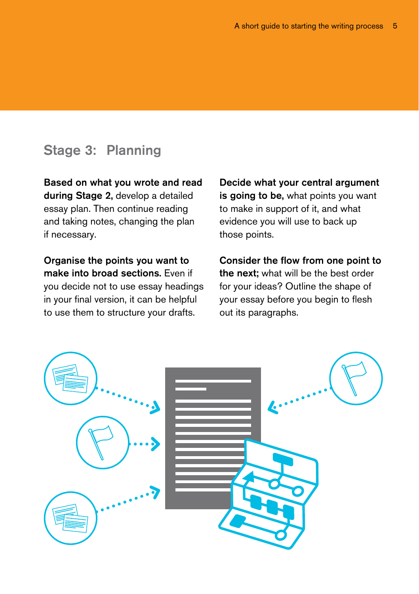## Stage 3: Planning

Based on what you wrote and read during Stage 2, develop a detailed essay plan. Then continue reading and taking notes, changing the plan if necessary.

Organise the points you want to make into broad sections. Even if you decide not to use essay headings in your final version, it can be helpful to use them to structure your drafts.

Decide what your central argument is going to be, what points you want to make in support of it, and what evidence you will use to back up those points.

Consider the flow from one point to the next: what will be the best order for your ideas? Outline the shape of your essay before you begin to flesh out its paragraphs.

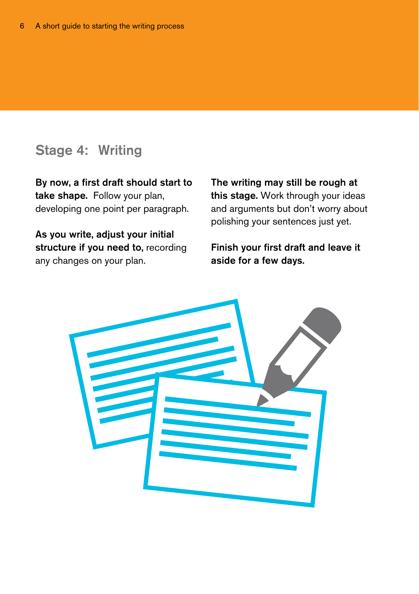#### Stage 4: Writing

By now, a first draft should start to take shape. Follow your plan, developing one point per paragraph.

As you write, adjust your initial structure if you need to, recording any changes on your plan.

The writing may still be rough at this stage. Work through your ideas and arguments but don't worry about polishing your sentences just yet.

Finish your first draft and leave it aside for a few days.

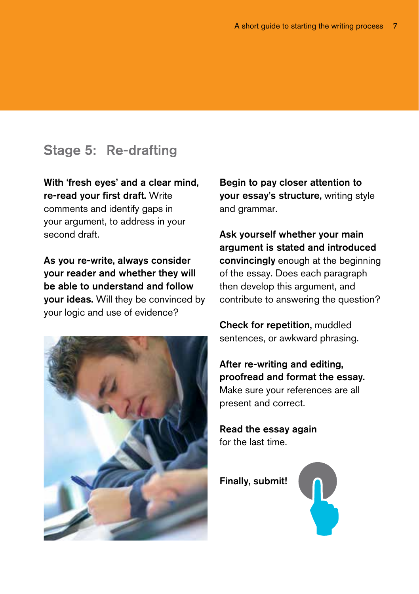#### Stage 5: Re-drafting

With 'fresh eyes' and a clear mind, re-read your first draft. Write comments and identify gaps in your argument, to address in your second draft.

As you re-write, always consider your reader and whether they will be able to understand and follow your ideas. Will they be convinced by your logic and use of evidence?



Begin to pay closer attention to your essay's structure, writing style and grammar.

Ask yourself whether your main argument is stated and introduced convincingly enough at the beginning of the essay. Does each paragraph then develop this argument, and contribute to answering the question?

Check for repetition, muddled sentences, or awkward phrasing.

After re-writing and editing, proofread and format the essay. Make sure your references are all present and correct.

Read the essay again for the last time.

Finally, submit!